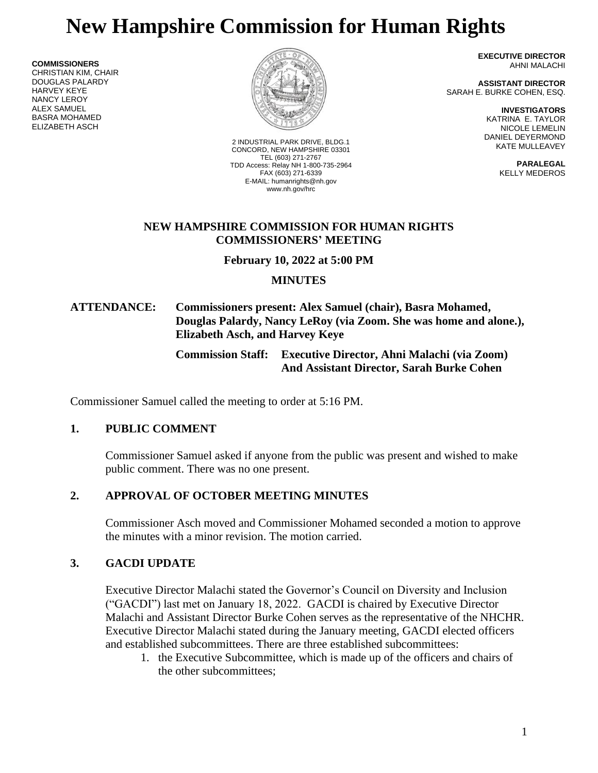# **New Hampshire Commission for Human Rights**

**COMMISSIONERS** CHRISTIAN KIM, CHAIR DOUGLAS PALARDY HARVEY KEYE NANCY LEROY ALEX SAMUEL BASRA MOHAMED ELIZABETH ASCH



2 INDUSTRIAL PARK DRIVE, BLDG.1 CONCORD, NEW HAMPSHIRE 03301 TEL (603) 271-2767 TDD Access: Relay NH 1-800-735-2964 FAX (603) 271-6339 E-MAIL: humanrights@nh.gov www.nh.gov/hrc

**EXECUTIVE DIRECTOR** AHNI MALACHI

**ASSISTANT DIRECTOR** SARAH E. BURKE COHEN, ESQ.

> **INVESTIGATORS** KATRINA E. TAYLOR NICOLE LEMELIN DANIEL DEYERMOND KATE MULLEAVEY

> > **PARALEGAL** KELLY MEDEROS

#### **NEW HAMPSHIRE COMMISSION FOR HUMAN RIGHTS COMMISSIONERS' MEETING**

**February 10, 2022 at 5:00 PM**

# **MINUTES**

# **ATTENDANCE: Commissioners present: Alex Samuel (chair), Basra Mohamed, Douglas Palardy, Nancy LeRoy (via Zoom. She was home and alone.), Elizabeth Asch, and Harvey Keye**

**Commission Staff: Executive Director, Ahni Malachi (via Zoom) And Assistant Director, Sarah Burke Cohen**

Commissioner Samuel called the meeting to order at 5:16 PM.

# **1. PUBLIC COMMENT**

Commissioner Samuel asked if anyone from the public was present and wished to make public comment. There was no one present.

# **2. APPROVAL OF OCTOBER MEETING MINUTES**

Commissioner Asch moved and Commissioner Mohamed seconded a motion to approve the minutes with a minor revision. The motion carried.

# **3. GACDI UPDATE**

Executive Director Malachi stated the Governor's Council on Diversity and Inclusion ("GACDI") last met on January 18, 2022. GACDI is chaired by Executive Director Malachi and Assistant Director Burke Cohen serves as the representative of the NHCHR. Executive Director Malachi stated during the January meeting, GACDI elected officers and established subcommittees. There are three established subcommittees:

1. the Executive Subcommittee, which is made up of the officers and chairs of the other subcommittees;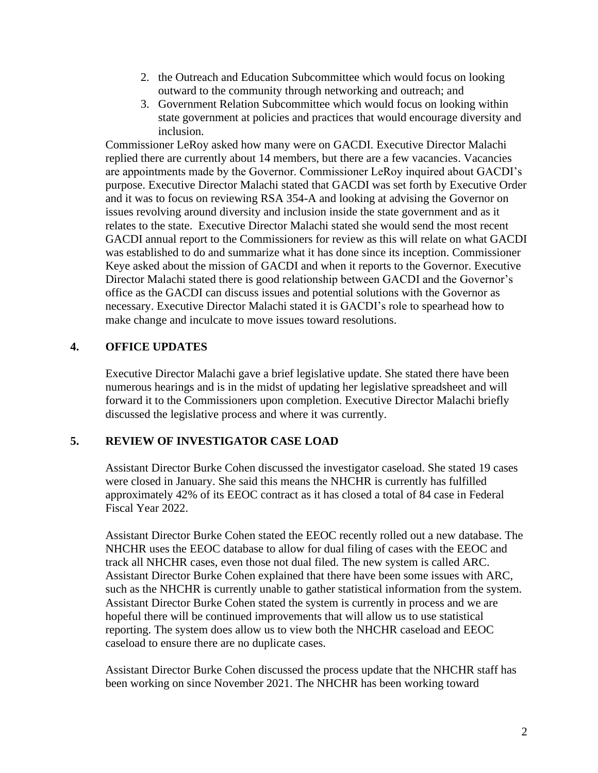- 2. the Outreach and Education Subcommittee which would focus on looking outward to the community through networking and outreach; and
- 3. Government Relation Subcommittee which would focus on looking within state government at policies and practices that would encourage diversity and inclusion.

Commissioner LeRoy asked how many were on GACDI. Executive Director Malachi replied there are currently about 14 members, but there are a few vacancies. Vacancies are appointments made by the Governor. Commissioner LeRoy inquired about GACDI's purpose. Executive Director Malachi stated that GACDI was set forth by Executive Order and it was to focus on reviewing RSA 354-A and looking at advising the Governor on issues revolving around diversity and inclusion inside the state government and as it relates to the state. Executive Director Malachi stated she would send the most recent GACDI annual report to the Commissioners for review as this will relate on what GACDI was established to do and summarize what it has done since its inception. Commissioner Keye asked about the mission of GACDI and when it reports to the Governor. Executive Director Malachi stated there is good relationship between GACDI and the Governor's office as the GACDI can discuss issues and potential solutions with the Governor as necessary. Executive Director Malachi stated it is GACDI's role to spearhead how to make change and inculcate to move issues toward resolutions.

# **4. OFFICE UPDATES**

Executive Director Malachi gave a brief legislative update. She stated there have been numerous hearings and is in the midst of updating her legislative spreadsheet and will forward it to the Commissioners upon completion. Executive Director Malachi briefly discussed the legislative process and where it was currently.

# **5. REVIEW OF INVESTIGATOR CASE LOAD**

Assistant Director Burke Cohen discussed the investigator caseload. She stated 19 cases were closed in January. She said this means the NHCHR is currently has fulfilled approximately 42% of its EEOC contract as it has closed a total of 84 case in Federal Fiscal Year 2022.

Assistant Director Burke Cohen stated the EEOC recently rolled out a new database. The NHCHR uses the EEOC database to allow for dual filing of cases with the EEOC and track all NHCHR cases, even those not dual filed. The new system is called ARC. Assistant Director Burke Cohen explained that there have been some issues with ARC, such as the NHCHR is currently unable to gather statistical information from the system. Assistant Director Burke Cohen stated the system is currently in process and we are hopeful there will be continued improvements that will allow us to use statistical reporting. The system does allow us to view both the NHCHR caseload and EEOC caseload to ensure there are no duplicate cases.

Assistant Director Burke Cohen discussed the process update that the NHCHR staff has been working on since November 2021. The NHCHR has been working toward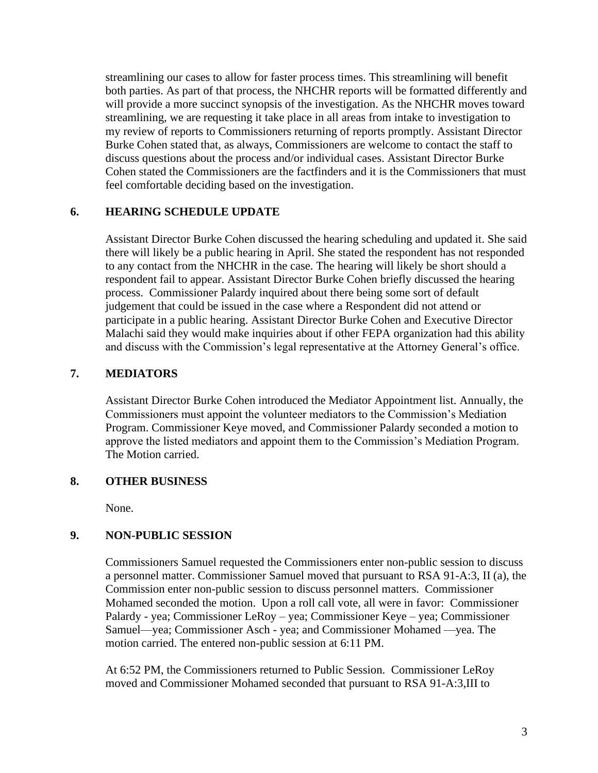streamlining our cases to allow for faster process times. This streamlining will benefit both parties. As part of that process, the NHCHR reports will be formatted differently and will provide a more succinct synopsis of the investigation. As the NHCHR moves toward streamlining, we are requesting it take place in all areas from intake to investigation to my review of reports to Commissioners returning of reports promptly. Assistant Director Burke Cohen stated that, as always, Commissioners are welcome to contact the staff to discuss questions about the process and/or individual cases. Assistant Director Burke Cohen stated the Commissioners are the factfinders and it is the Commissioners that must feel comfortable deciding based on the investigation.

### **6. HEARING SCHEDULE UPDATE**

Assistant Director Burke Cohen discussed the hearing scheduling and updated it. She said there will likely be a public hearing in April. She stated the respondent has not responded to any contact from the NHCHR in the case. The hearing will likely be short should a respondent fail to appear. Assistant Director Burke Cohen briefly discussed the hearing process. Commissioner Palardy inquired about there being some sort of default judgement that could be issued in the case where a Respondent did not attend or participate in a public hearing. Assistant Director Burke Cohen and Executive Director Malachi said they would make inquiries about if other FEPA organization had this ability and discuss with the Commission's legal representative at the Attorney General's office.

### **7. MEDIATORS**

Assistant Director Burke Cohen introduced the Mediator Appointment list. Annually, the Commissioners must appoint the volunteer mediators to the Commission's Mediation Program. Commissioner Keye moved, and Commissioner Palardy seconded a motion to approve the listed mediators and appoint them to the Commission's Mediation Program. The Motion carried.

#### **8. OTHER BUSINESS**

None.

# **9. NON-PUBLIC SESSION**

Commissioners Samuel requested the Commissioners enter non-public session to discuss a personnel matter. Commissioner Samuel moved that pursuant to RSA 91-A:3, II (a), the Commission enter non-public session to discuss personnel matters. Commissioner Mohamed seconded the motion. Upon a roll call vote, all were in favor: Commissioner Palardy - yea; Commissioner LeRoy – yea; Commissioner Keye – yea; Commissioner Samuel—yea; Commissioner Asch - yea; and Commissioner Mohamed —yea. The motion carried. The entered non-public session at 6:11 PM.

At 6:52 PM, the Commissioners returned to Public Session. Commissioner LeRoy moved and Commissioner Mohamed seconded that pursuant to RSA 91-A:3,III to